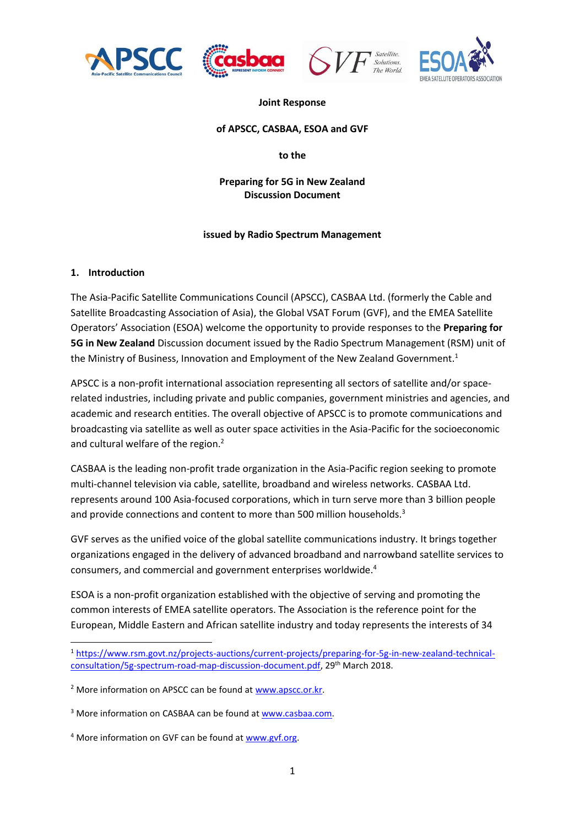







#### **Joint Response**

#### **of APSCC, CASBAA, ESOA and GVF**

**to the** 

#### **Preparing for 5G in New Zealand Discussion Document**

#### **issued by Radio Spectrum Management**

#### **1. Introduction**

**.** 

The Asia-Pacific Satellite Communications Council (APSCC), CASBAA Ltd. (formerly the Cable and Satellite Broadcasting Association of Asia), the Global VSAT Forum (GVF), and the EMEA Satellite Operators' Association (ESOA) welcome the opportunity to provide responses to the **Preparing for 5G in New Zealand** Discussion document issued by the Radio Spectrum Management (RSM) unit of the Ministry of Business, Innovation and Employment of the New Zealand Government.<sup>1</sup>

APSCC is a non-profit international association representing all sectors of satellite and/or spacerelated industries, including private and public companies, government ministries and agencies, and academic and research entities. The overall objective of APSCC is to promote communications and broadcasting via satellite as well as outer space activities in the Asia-Pacific for the socioeconomic and cultural welfare of the region.<sup>2</sup>

CASBAA is the leading non-profit trade organization in the Asia-Pacific region seeking to promote multi-channel television via cable, satellite, broadband and wireless networks. CASBAA Ltd. represents around 100 Asia-focused corporations, which in turn serve more than 3 billion people and provide connections and content to more than 500 million households.<sup>3</sup>

GVF serves as the unified voice of the global satellite communications industry. It brings together organizations engaged in the delivery of advanced broadband and narrowband satellite services to consumers, and commercial and government enterprises worldwide.<sup>4</sup>

ESOA is a non-profit organization established with the objective of serving and promoting the common interests of EMEA satellite operators. The Association is the reference point for the European, Middle Eastern and African satellite industry and today represents the interests of 34

<sup>1</sup> [https://www.rsm.govt.nz/projects-auctions/current-projects/preparing-for-5g-in-new-zealand-technical](https://www.rsm.govt.nz/projects-auctions/current-projects/preparing-for-5g-in-new-zealand-technical-consultation/5g-spectrum-road-map-discussion-document.pdf)[consultation/5g-spectrum-road-map-discussion-document.pdf,](https://www.rsm.govt.nz/projects-auctions/current-projects/preparing-for-5g-in-new-zealand-technical-consultation/5g-spectrum-road-map-discussion-document.pdf) 29th March 2018.

<sup>&</sup>lt;sup>2</sup> More information on APSCC can be found a[t www.apscc.or.kr.](http://www.apscc.or.kr/)

<sup>&</sup>lt;sup>3</sup> More information on CASBAA can be found a[t www.casbaa.com.](http://www.casbaa.com/)

<sup>4</sup> More information on GVF can be found at [www.gvf.org.](http://www.gvf.org/)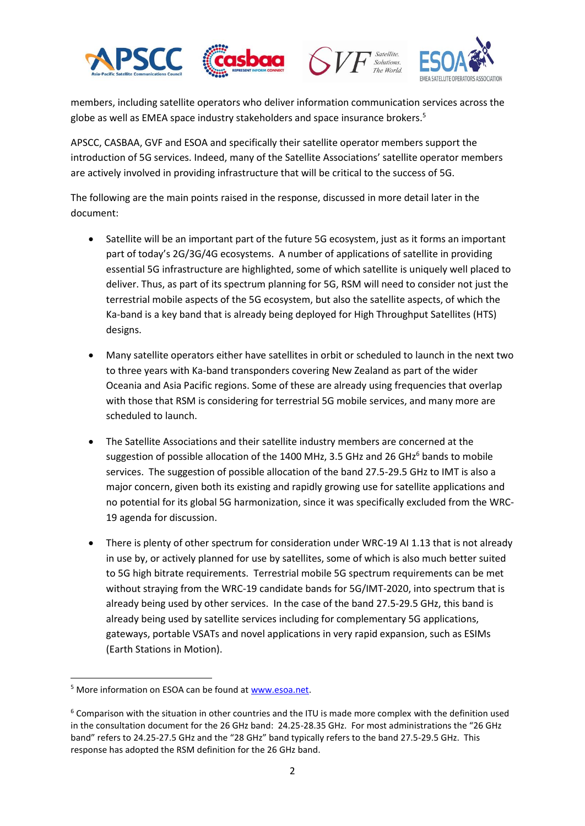





members, including satellite operators who deliver information communication services across the globe as well as EMEA space industry stakeholders and space insurance brokers.<sup>5</sup>

APSCC, CASBAA, GVF and ESOA and specifically their satellite operator members support the introduction of 5G services. Indeed, many of the Satellite Associations' satellite operator members are actively involved in providing infrastructure that will be critical to the success of 5G.

The following are the main points raised in the response, discussed in more detail later in the document:

- Satellite will be an important part of the future 5G ecosystem, just as it forms an important part of today's 2G/3G/4G ecosystems. A number of applications of satellite in providing essential 5G infrastructure are highlighted, some of which satellite is uniquely well placed to deliver. Thus, as part of its spectrum planning for 5G, RSM will need to consider not just the terrestrial mobile aspects of the 5G ecosystem, but also the satellite aspects, of which the Ka-band is a key band that is already being deployed for High Throughput Satellites (HTS) designs.
- Many satellite operators either have satellites in orbit or scheduled to launch in the next two to three years with Ka-band transponders covering New Zealand as part of the wider Oceania and Asia Pacific regions. Some of these are already using frequencies that overlap with those that RSM is considering for terrestrial 5G mobile services, and many more are scheduled to launch.
- The Satellite Associations and their satellite industry members are concerned at the suggestion of possible allocation of the 1400 MHz, 3.5 GHz and 26 GHz $^6$  bands to mobile services. The suggestion of possible allocation of the band 27.5-29.5 GHz to IMT is also a major concern, given both its existing and rapidly growing use for satellite applications and no potential for its global 5G harmonization, since it was specifically excluded from the WRC-19 agenda for discussion.
- There is plenty of other spectrum for consideration under WRC-19 AI 1.13 that is not already in use by, or actively planned for use by satellites, some of which is also much better suited to 5G high bitrate requirements. Terrestrial mobile 5G spectrum requirements can be met without straying from the WRC-19 candidate bands for 5G/IMT-2020, into spectrum that is already being used by other services. In the case of the band 27.5-29.5 GHz, this band is already being used by satellite services including for complementary 5G applications, gateways, portable VSATs and novel applications in very rapid expansion, such as ESIMs (Earth Stations in Motion).

 $\overline{a}$ <sup>5</sup> More information on ESOA can be found a[t www.esoa.net.](http://www.esoa.net/)

<sup>&</sup>lt;sup>6</sup> Comparison with the situation in other countries and the ITU is made more complex with the definition used in the consultation document for the 26 GHz band: 24.25-28.35 GHz. For most administrations the "26 GHz band" refers to 24.25-27.5 GHz and the "28 GHz" band typically refers to the band 27.5-29.5 GHz. This response has adopted the RSM definition for the 26 GHz band.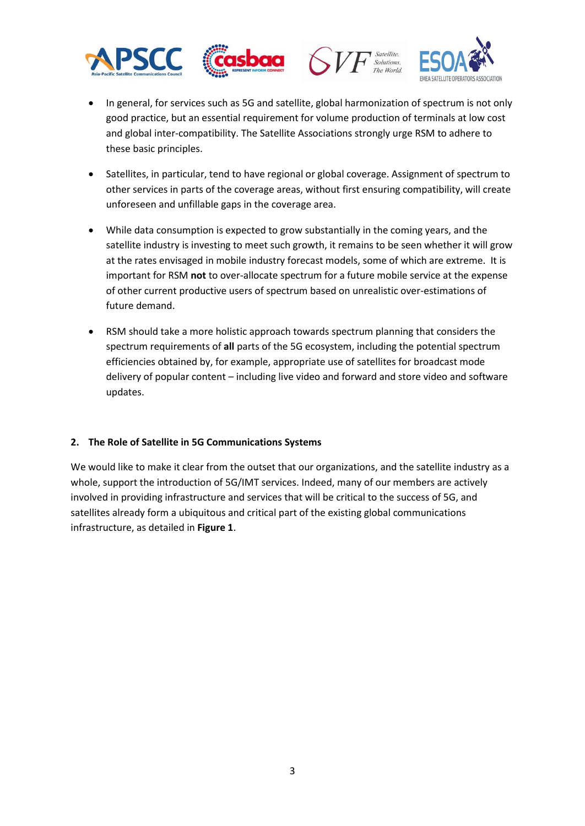







- In general, for services such as 5G and satellite, global harmonization of spectrum is not only good practice, but an essential requirement for volume production of terminals at low cost and global inter-compatibility. The Satellite Associations strongly urge RSM to adhere to these basic principles.
- Satellites, in particular, tend to have regional or global coverage. Assignment of spectrum to other services in parts of the coverage areas, without first ensuring compatibility, will create unforeseen and unfillable gaps in the coverage area.
- While data consumption is expected to grow substantially in the coming years, and the satellite industry is investing to meet such growth, it remains to be seen whether it will grow at the rates envisaged in mobile industry forecast models, some of which are extreme. It is important for RSM **not** to over-allocate spectrum for a future mobile service at the expense of other current productive users of spectrum based on unrealistic over-estimations of future demand.
- RSM should take a more holistic approach towards spectrum planning that considers the spectrum requirements of **all** parts of the 5G ecosystem, including the potential spectrum efficiencies obtained by, for example, appropriate use of satellites for broadcast mode delivery of popular content – including live video and forward and store video and software updates.

### **2. The Role of Satellite in 5G Communications Systems**

We would like to make it clear from the outset that our organizations, and the satellite industry as a whole, support the introduction of 5G/IMT services. Indeed, many of our members are actively involved in providing infrastructure and services that will be critical to the success of 5G, and satellites already form a ubiquitous and critical part of the existing global communications infrastructure, as detailed in **[Figure 1](#page-3-0)**.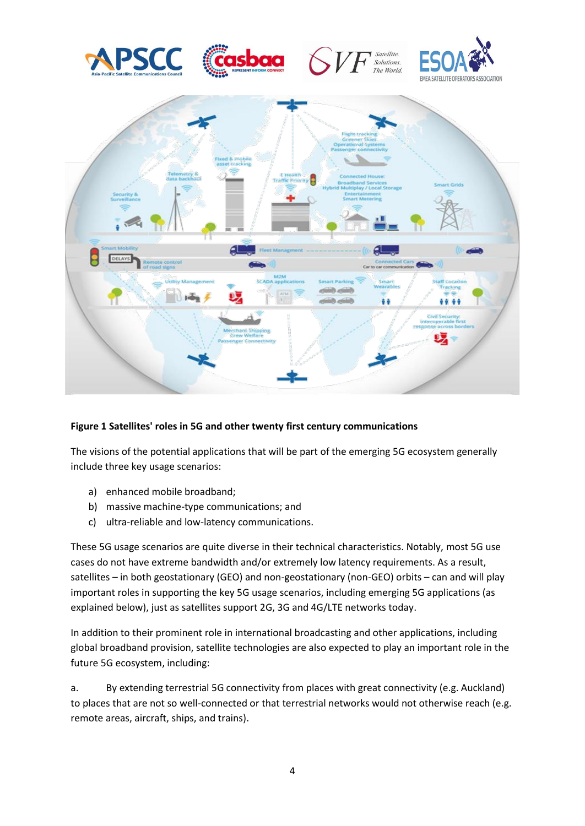

### <span id="page-3-0"></span>**Figure 1 Satellites' roles in 5G and other twenty first century communications**

The visions of the potential applications that will be part of the emerging 5G ecosystem generally include three key usage scenarios:

- a) enhanced mobile broadband;
- b) massive machine-type communications; and
- c) ultra-reliable and low-latency communications.

These 5G usage scenarios are quite diverse in their technical characteristics. Notably, most 5G use cases do not have extreme bandwidth and/or extremely low latency requirements. As a result, satellites – in both geostationary (GEO) and non-geostationary (non-GEO) orbits – can and will play important roles in supporting the key 5G usage scenarios, including emerging 5G applications (as explained below), just as satellites support 2G, 3G and 4G/LTE networks today.

In addition to their prominent role in international broadcasting and other applications, including global broadband provision, satellite technologies are also expected to play an important role in the future 5G ecosystem, including:

a. By extending terrestrial 5G connectivity from places with great connectivity (e.g. Auckland) to places that are not so well-connected or that terrestrial networks would not otherwise reach (e.g. remote areas, aircraft, ships, and trains).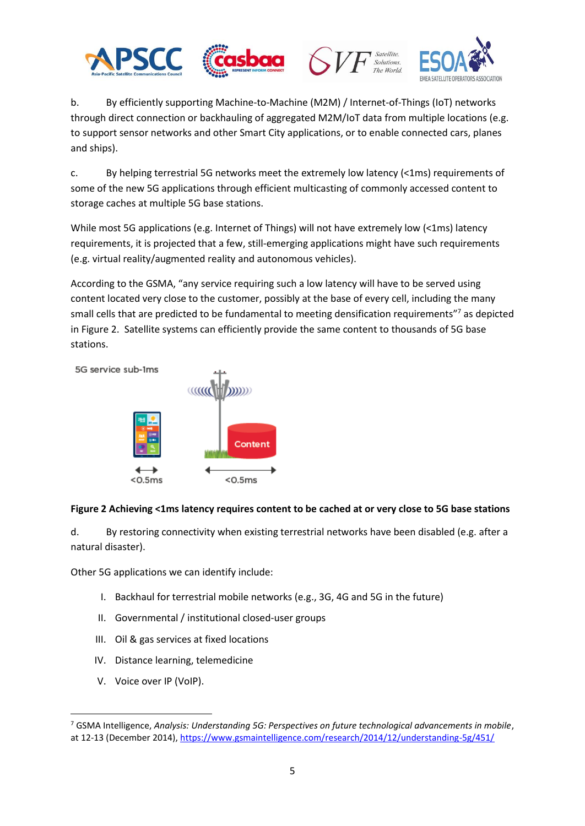





b. By efficiently supporting Machine-to-Machine (M2M) / Internet-of-Things (IoT) networks through direct connection or backhauling of aggregated M2M/IoT data from multiple locations (e.g. to support sensor networks and other Smart City applications, or to enable connected cars, planes and ships).

c. By helping terrestrial 5G networks meet the extremely low latency (<1ms) requirements of some of the new 5G applications through efficient multicasting of commonly accessed content to storage caches at multiple 5G base stations.

While most 5G applications (e.g. Internet of Things) will not have extremely low (<1ms) latency requirements, it is projected that a few, still-emerging applications might have such requirements (e.g. virtual reality/augmented reality and autonomous vehicles).

According to the GSMA, "any service requiring such a low latency will have to be served using content located very close to the customer, possibly at the base of every cell, including the many small cells that are predicted to be fundamental to meeting densification requirements"<sup>7</sup> as depicted in [Figure 2.](#page-4-0) Satellite systems can efficiently provide the same content to thousands of 5G base stations.

5G service sub-1ms



# <span id="page-4-0"></span>**Figure 2 Achieving <1ms latency requires content to be cached at or very close to 5G base stations**

d. By restoring connectivity when existing terrestrial networks have been disabled (e.g. after a natural disaster).

Other 5G applications we can identify include:

- I. Backhaul for terrestrial mobile networks (e.g., 3G, 4G and 5G in the future)
- II. Governmental / institutional closed-user groups
- III. Oil & gas services at fixed locations
- IV. Distance learning, telemedicine
- V. Voice over IP (VoIP).

1

<sup>7</sup> GSMA Intelligence, *Analysis: Understanding 5G: Perspectives on future technological advancements in mobile*, at 12-13 (December 2014)[, https://www.gsmaintelligence.com/research/2014/12/understanding-5g/451/](https://www.gsmaintelligence.com/research/2014/12/understanding-5g/451/)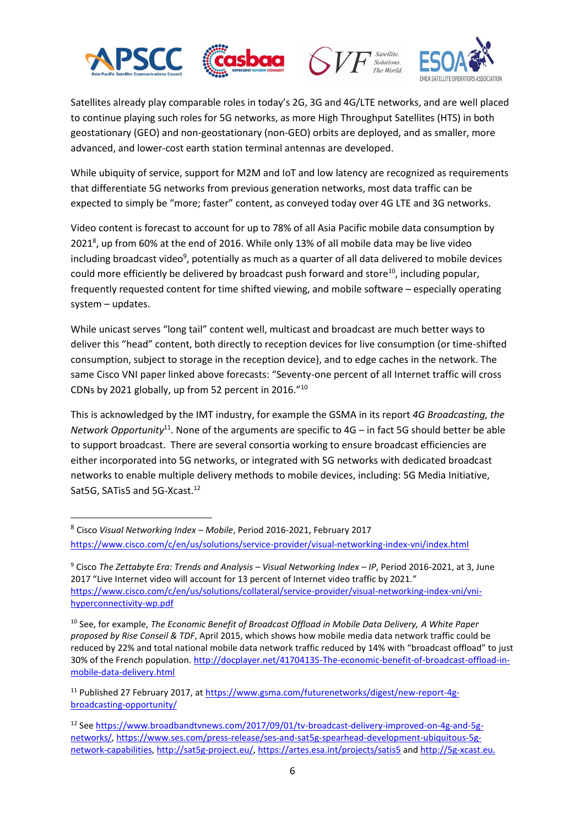

1





Satellites already play comparable roles in today's 2G, 3G and 4G/LTE networks, and are well placed to continue playing such roles for 5G networks, as more High Throughput Satellites (HTS) in both geostationary (GEO) and non‐geostationary (non‐GEO) orbits are deployed, and as smaller, more advanced, and lower‐cost earth station terminal antennas are developed.

While ubiquity of service, support for M2M and IoT and low latency are recognized as requirements that differentiate 5G networks from previous generation networks, most data traffic can be expected to simply be "more; faster" content, as conveyed today over 4G LTE and 3G networks.

Video content is forecast to account for up to 78% of all Asia Pacific mobile data consumption by 2021<sup>8</sup>, up from 60% at the end of 2016. While only 13% of all mobile data may be live video including broadcast video<sup>9</sup>, potentially as much as a quarter of all data delivered to mobile devices could more efficiently be delivered by broadcast push forward and store $10$ , including popular, frequently requested content for time shifted viewing, and mobile software – especially operating system – updates.

While unicast serves "long tail" content well, multicast and broadcast are much better ways to deliver this "head" content, both directly to reception devices for live consumption (or time-shifted consumption, subject to storage in the reception device), and to edge caches in the network. The same Cisco VNI paper linked above forecasts: "Seventy-one percent of all Internet traffic will cross CDNs by 2021 globally, up from 52 percent in 2016."<sup>10</sup>

This is acknowledged by the IMT industry, for example the GSMA in its report *4G Broadcasting, the Network Opportunity*<sup>11</sup>. None of the arguments are specific to 4G – in fact 5G should better be able to support broadcast. There are several consortia working to ensure broadcast efficiencies are either incorporated into 5G networks, or integrated with 5G networks with dedicated broadcast networks to enable multiple delivery methods to mobile devices, including: 5G Media Initiative, Sat5G, SATis5 and 5G-Xcast.<sup>12</sup>

<sup>8</sup> Cisco *Visual Networking Index – Mobile*, Period 2016-2021, February 2017 <https://www.cisco.com/c/en/us/solutions/service-provider/visual-networking-index-vni/index.html>

<sup>9</sup> Cisco *The Zettabyte Era: Trends and Analysis – Visual Networking Index – IP*, Period 2016-2021, at 3, June 2017 "Live Internet video will account for 13 percent of Internet video traffic by 2021." [https://www.cisco.com/c/en/us/solutions/collateral/service-provider/visual-networking-index-vni/vni](https://www.cisco.com/c/en/us/solutions/collateral/service-provider/visual-networking-index-vni/vni-hyperconnectivity-wp.pdf)[hyperconnectivity-wp.pdf](https://www.cisco.com/c/en/us/solutions/collateral/service-provider/visual-networking-index-vni/vni-hyperconnectivity-wp.pdf)

<sup>10</sup> See, for example, *The Economic Benefit of Broadcast Offload in Mobile Data Delivery, A White Paper proposed by Rise Conseil & TDF*, April 2015, which shows how mobile media data network traffic could be reduced by 22% and total national mobile data network traffic reduced by 14% with "broadcast offload" to just 30% of the French population. [http://docplayer.net/41704135-The-economic-benefit-of-broadcast-offload-in](http://docplayer.net/41704135-The-economic-benefit-of-broadcast-offload-in-mobile-data-delivery.html)[mobile-data-delivery.html](http://docplayer.net/41704135-The-economic-benefit-of-broadcast-offload-in-mobile-data-delivery.html)

<sup>&</sup>lt;sup>11</sup> Published 27 February 2017, at [https://www.gsma.com/futurenetworks/digest/new-report-4g](https://www.gsma.com/futurenetworks/digest/new-report-4g-broadcasting-opportunity/)[broadcasting-opportunity/](https://www.gsma.com/futurenetworks/digest/new-report-4g-broadcasting-opportunity/)

<sup>12</sup> Se[e https://www.broadbandtvnews.com/2017/09/01/tv-broadcast-delivery-improved-on-4g-and-5g](https://www.broadbandtvnews.com/2017/09/01/tv-broadcast-delivery-improved-on-4g-and-5g-networks/)[networks/,](https://www.broadbandtvnews.com/2017/09/01/tv-broadcast-delivery-improved-on-4g-and-5g-networks/) [https://www.ses.com/press-release/ses-and-sat5g-spearhead-development-ubiquitous-5g](https://www.ses.com/press-release/ses-and-sat5g-spearhead-development-ubiquitous-5g-network-capabilities)[network-capabilities,](https://www.ses.com/press-release/ses-and-sat5g-spearhead-development-ubiquitous-5g-network-capabilities) [http://sat5g-project.eu/,](http://sat5g-project.eu/)<https://artes.esa.int/projects/satis5> and [http://5g-xcast.eu.](http://5g-xcast.eu/)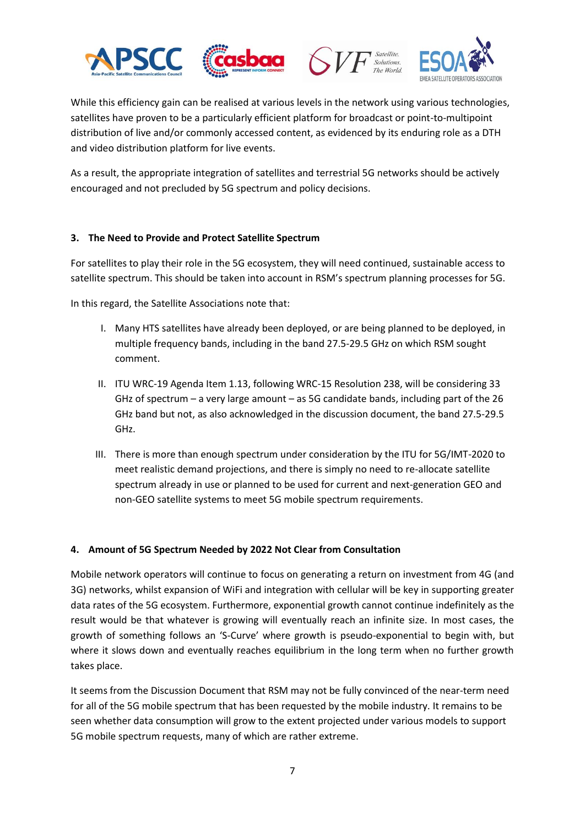





Solutions.

While this efficiency gain can be realised at various levels in the network using various technologies, satellites have proven to be a particularly efficient platform for broadcast or point-to-multipoint distribution of live and/or commonly accessed content, as evidenced by its enduring role as a DTH and video distribution platform for live events.

As a result, the appropriate integration of satellites and terrestrial 5G networks should be actively encouraged and not precluded by 5G spectrum and policy decisions.

### **3. The Need to Provide and Protect Satellite Spectrum**

For satellites to play their role in the 5G ecosystem, they will need continued, sustainable access to satellite spectrum. This should be taken into account in RSM's spectrum planning processes for 5G.

In this regard, the Satellite Associations note that:

- I. Many HTS satellites have already been deployed, or are being planned to be deployed, in multiple frequency bands, including in the band 27.5-29.5 GHz on which RSM sought comment.
- II. ITU WRC-19 Agenda Item 1.13, following WRC-15 Resolution 238, will be considering 33 GHz of spectrum – a very large amount – as 5G candidate bands, including part of the 26 GHz band but not, as also acknowledged in the discussion document, the band 27.5-29.5 GHz.
- III. There is more than enough spectrum under consideration by the ITU for 5G/IMT-2020 to meet realistic demand projections, and there is simply no need to re-allocate satellite spectrum already in use or planned to be used for current and next-generation GEO and non-GEO satellite systems to meet 5G mobile spectrum requirements.

# **4. Amount of 5G Spectrum Needed by 2022 Not Clear from Consultation**

Mobile network operators will continue to focus on generating a return on investment from 4G (and 3G) networks, whilst expansion of WiFi and integration with cellular will be key in supporting greater data rates of the 5G ecosystem. Furthermore, exponential growth cannot continue indefinitely as the result would be that whatever is growing will eventually reach an infinite size. In most cases, the growth of something follows an 'S-Curve' where growth is pseudo-exponential to begin with, but where it slows down and eventually reaches equilibrium in the long term when no further growth takes place.

It seems from the Discussion Document that RSM may not be fully convinced of the near-term need for all of the 5G mobile spectrum that has been requested by the mobile industry. It remains to be seen whether data consumption will grow to the extent projected under various models to support 5G mobile spectrum requests, many of which are rather extreme.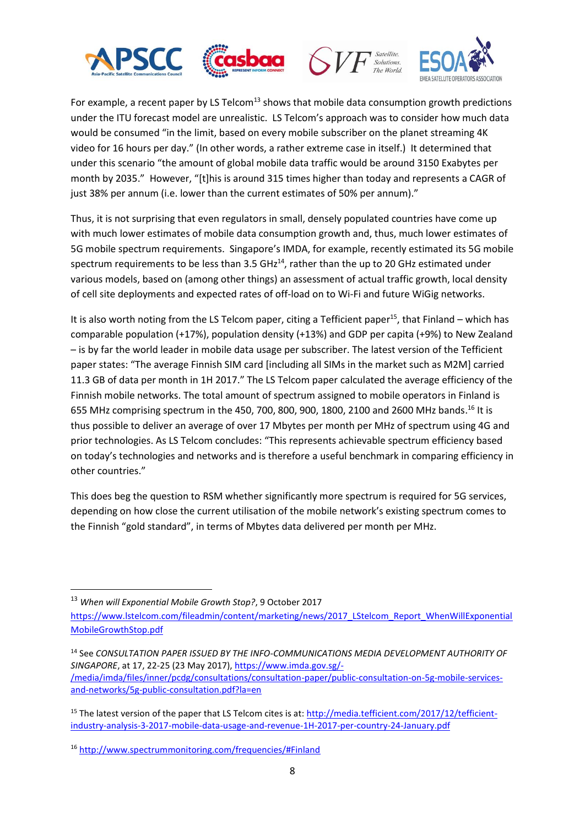







For example, a recent paper by LS Telcom<sup>13</sup> shows that mobile data consumption growth predictions under the ITU forecast model are unrealistic. LS Telcom's approach was to consider how much data would be consumed "in the limit, based on every mobile subscriber on the planet streaming 4K video for 16 hours per day." (In other words, a rather extreme case in itself.) It determined that under this scenario "the amount of global mobile data traffic would be around 3150 Exabytes per month by 2035." However, "[t]his is around 315 times higher than today and represents a CAGR of just 38% per annum (i.e. lower than the current estimates of 50% per annum)."

Thus, it is not surprising that even regulators in small, densely populated countries have come up with much lower estimates of mobile data consumption growth and, thus, much lower estimates of 5G mobile spectrum requirements. Singapore's IMDA, for example, recently estimated its 5G mobile spectrum requirements to be less than  $3.5 \text{ GHz}^{14}$ , rather than the up to 20 GHz estimated under various models, based on (among other things) an assessment of actual traffic growth, local density of cell site deployments and expected rates of off-load on to Wi-Fi and future WiGig networks.

It is also worth noting from the LS Telcom paper, citing a Tefficient paper<sup>15</sup>, that Finland – which has comparable population (+17%), population density (+13%) and GDP per capita (+9%) to New Zealand – is by far the world leader in mobile data usage per subscriber. The latest version of the Tefficient paper states: "The average Finnish SIM card [including all SIMs in the market such as M2M] carried 11.3 GB of data per month in 1H 2017." The LS Telcom paper calculated the average efficiency of the Finnish mobile networks. The total amount of spectrum assigned to mobile operators in Finland is 655 MHz comprising spectrum in the 450, 700, 800, 900, 1800, 2100 and 2600 MHz bands.<sup>16</sup> It is thus possible to deliver an average of over 17 Mbytes per month per MHz of spectrum using 4G and prior technologies. As LS Telcom concludes: "This represents achievable spectrum efficiency based on today's technologies and networks and is therefore a useful benchmark in comparing efficiency in other countries."

This does beg the question to RSM whether significantly more spectrum is required for 5G services, depending on how close the current utilisation of the mobile network's existing spectrum comes to the Finnish "gold standard", in terms of Mbytes data delivered per month per MHz.

<sup>1</sup> <sup>13</sup> *When will Exponential Mobile Growth Stop?*, 9 October 2017

[https://www.lstelcom.com/fileadmin/content/marketing/news/2017\\_LStelcom\\_Report\\_WhenWillExponential](https://www.lstelcom.com/fileadmin/content/marketing/news/2017_LStelcom_Report_WhenWillExponentialMobileGrowthStop.pdf) [MobileGrowthStop.pdf](https://www.lstelcom.com/fileadmin/content/marketing/news/2017_LStelcom_Report_WhenWillExponentialMobileGrowthStop.pdf)

<sup>14</sup> See *CONSULTATION PAPER ISSUED BY THE INFO-COMMUNICATIONS MEDIA DEVELOPMENT AUTHORITY OF SINGAPORE*, at 17, 22-25 (23 May 2017), [https://www.imda.gov.sg/-](https://www.imda.gov.sg/-/media/imda/files/inner/pcdg/consultations/consultation-paper/public-consultation-on-5g-mobile-services-and-networks/5g-public-consultation.pdf?la=en) [/media/imda/files/inner/pcdg/consultations/consultation-paper/public-consultation-on-5g-mobile-services](https://www.imda.gov.sg/-/media/imda/files/inner/pcdg/consultations/consultation-paper/public-consultation-on-5g-mobile-services-and-networks/5g-public-consultation.pdf?la=en)[and-networks/5g-public-consultation.pdf?la=en](https://www.imda.gov.sg/-/media/imda/files/inner/pcdg/consultations/consultation-paper/public-consultation-on-5g-mobile-services-and-networks/5g-public-consultation.pdf?la=en)

<sup>&</sup>lt;sup>15</sup> The latest version of the paper that LS Telcom cites is at: [http://media.tefficient.com/2017/12/tefficient](http://media.tefficient.com/2017/12/tefficient-industry-analysis-3-2017-mobile-data-usage-and-revenue-1H-2017-per-country-24-January.pdf)[industry-analysis-3-2017-mobile-data-usage-and-revenue-1H-2017-per-country-24-January.pdf](http://media.tefficient.com/2017/12/tefficient-industry-analysis-3-2017-mobile-data-usage-and-revenue-1H-2017-per-country-24-January.pdf)

<sup>16</sup> <http://www.spectrummonitoring.com/frequencies/#Finland>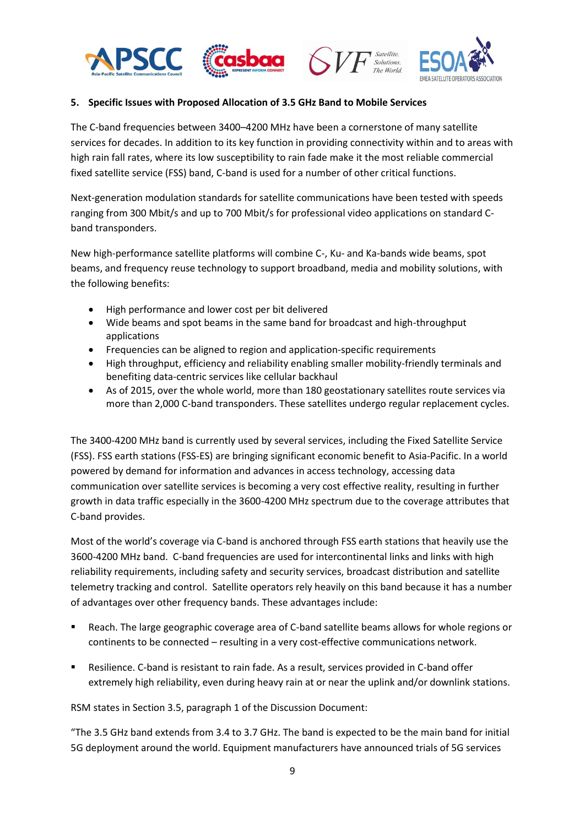





#### **5. Specific Issues with Proposed Allocation of 3.5 GHz Band to Mobile Services**

The C-band frequencies between 3400–4200 MHz have been a cornerstone of many satellite services for decades. In addition to its key function in providing connectivity within and to areas with high rain fall rates, where its low susceptibility to rain fade make it the most reliable commercial fixed satellite service (FSS) band, C-band is used for a number of other critical functions.

Next-generation modulation standards for satellite communications have been tested with speeds ranging from 300 Mbit/s and up to 700 Mbit/s for professional video applications on standard Cband transponders.

New high-performance satellite platforms will combine C-, Ku- and Ka-bands wide beams, spot beams, and frequency reuse technology to support broadband, media and mobility solutions, with the following benefits:

- High performance and lower cost per bit delivered
- Wide beams and spot beams in the same band for broadcast and high-throughput applications
- Frequencies can be aligned to region and application-specific requirements
- High throughput, efficiency and reliability enabling smaller mobility-friendly terminals and benefiting data-centric services like cellular backhaul
- As of 2015, over the whole world, more than 180 geostationary satellites route services via more than 2,000 C-band transponders. These satellites undergo regular replacement cycles.

The 3400-4200 MHz band is currently used by several services, including the Fixed Satellite Service (FSS). FSS earth stations (FSS-ES) are bringing significant economic benefit to Asia-Pacific. In a world powered by demand for information and advances in access technology, accessing data communication over satellite services is becoming a very cost effective reality, resulting in further growth in data traffic especially in the 3600-4200 MHz spectrum due to the coverage attributes that C-band provides.

Most of the world's coverage via C-band is anchored through FSS earth stations that heavily use the 3600-4200 MHz band. C-band frequencies are used for intercontinental links and links with high reliability requirements, including safety and security services, broadcast distribution and satellite telemetry tracking and control. Satellite operators rely heavily on this band because it has a number of advantages over other frequency bands. These advantages include:

- Reach. The large geographic coverage area of C-band satellite beams allows for whole regions or continents to be connected – resulting in a very cost-effective communications network.
- Resilience. C-band is resistant to rain fade. As a result, services provided in C-band offer extremely high reliability, even during heavy rain at or near the uplink and/or downlink stations.

RSM states in Section 3.5, paragraph 1 of the Discussion Document:

"The 3.5 GHz band extends from 3.4 to 3.7 GHz. The band is expected to be the main band for initial 5G deployment around the world. Equipment manufacturers have announced trials of 5G services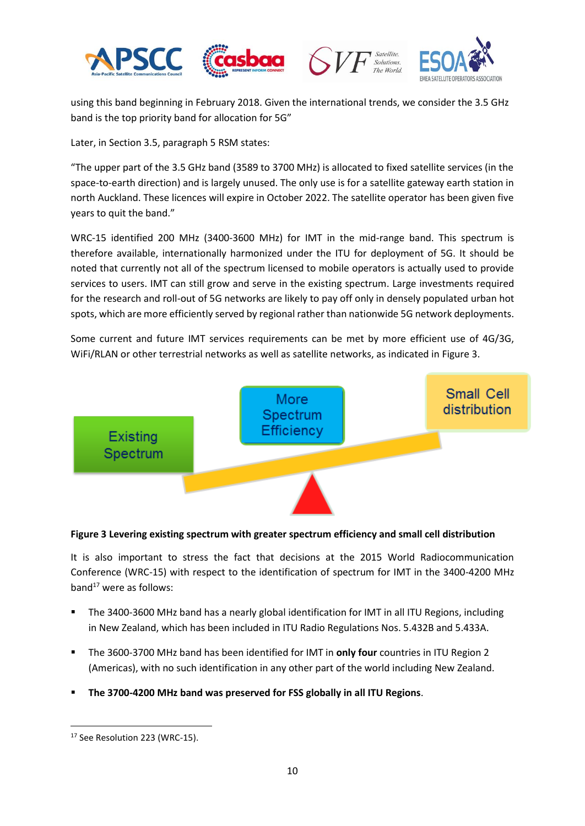





using this band beginning in February 2018. Given the international trends, we consider the 3.5 GHz band is the top priority band for allocation for 5G"

Later, in Section 3.5, paragraph 5 RSM states:

"The upper part of the 3.5 GHz band (3589 to 3700 MHz) is allocated to fixed satellite services (in the space-to-earth direction) and is largely unused. The only use is for a satellite gateway earth station in north Auckland. These licences will expire in October 2022. The satellite operator has been given five years to quit the band."

WRC-15 identified 200 MHz (3400-3600 MHz) for IMT in the mid-range band. This spectrum is therefore available, internationally harmonized under the ITU for deployment of 5G. It should be noted that currently not all of the spectrum licensed to mobile operators is actually used to provide services to users. IMT can still grow and serve in the existing spectrum. Large investments required for the research and roll-out of 5G networks are likely to pay off only in densely populated urban hot spots, which are more efficiently served by regional rather than nationwide 5G network deployments.

Some current and future IMT services requirements can be met by more efficient use of 4G/3G, WiFi/RLAN or other terrestrial networks as well as satellite networks, as indicated i[n Figure 3.](#page-9-0)



### <span id="page-9-0"></span>**Figure 3 Levering existing spectrum with greater spectrum efficiency and small cell distribution**

It is also important to stress the fact that decisions at the 2015 World Radiocommunication Conference (WRC-15) with respect to the identification of spectrum for IMT in the 3400-4200 MHz band $^{17}$  were as follows:

- The 3400-3600 MHz band has a nearly global identification for IMT in all ITU Regions, including in New Zealand, which has been included in ITU Radio Regulations Nos. 5.432B and 5.433A.
- The 3600-3700 MHz band has been identified for IMT in **only four** countries in ITU Region 2 (Americas), with no such identification in any other part of the world including New Zealand.
- **The 3700-4200 MHz band was preserved for FSS globally in all ITU Regions**.

**<sup>.</sup>** <sup>17</sup> See Resolution 223 (WRC-15).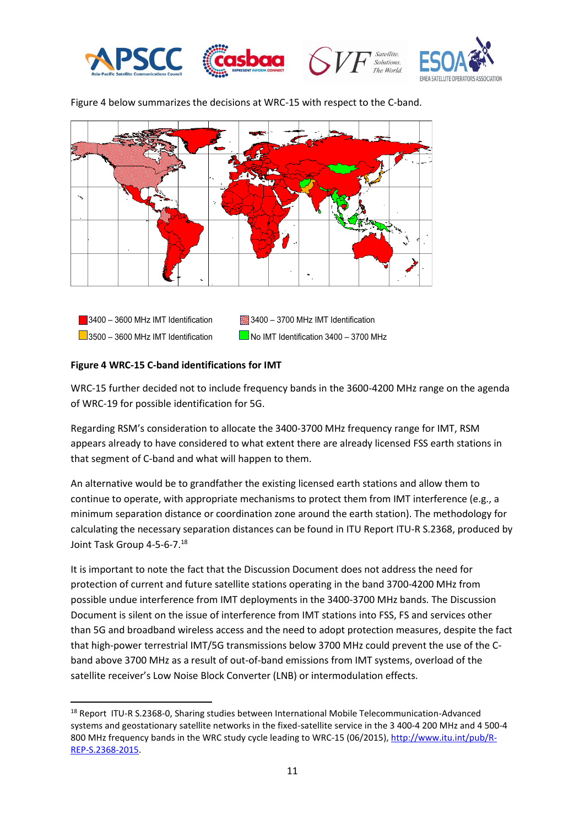



**Solutions** The World



[Figure 4](#page-10-0) below summarizes the decisions at WRC-15 with respect to the C-band.



#### <span id="page-10-0"></span>**Figure 4 WRC-15 C-band identifications for IMT**

 $\overline{\phantom{a}}$ 

WRC-15 further decided not to include frequency bands in the 3600-4200 MHz range on the agenda of WRC-19 for possible identification for 5G.

Regarding RSM's consideration to allocate the 3400-3700 MHz frequency range for IMT, RSM appears already to have considered to what extent there are already licensed FSS earth stations in that segment of C-band and what will happen to them.

An alternative would be to grandfather the existing licensed earth stations and allow them to continue to operate, with appropriate mechanisms to protect them from IMT interference (e.g., a minimum separation distance or coordination zone around the earth station). The methodology for calculating the necessary separation distances can be found in ITU Report ITU-R S.2368, produced by Joint Task Group 4-5-6-7.<sup>18</sup>

It is important to note the fact that the Discussion Document does not address the need for protection of current and future satellite stations operating in the band 3700-4200 MHz from possible undue interference from IMT deployments in the 3400-3700 MHz bands. The Discussion Document is silent on the issue of interference from IMT stations into FSS, FS and services other than 5G and broadband wireless access and the need to adopt protection measures, despite the fact that high-power terrestrial IMT/5G transmissions below 3700 MHz could prevent the use of the Cband above 3700 MHz as a result of out-of-band emissions from IMT systems, overload of the satellite receiver's Low Noise Block Converter (LNB) or intermodulation effects.

<sup>&</sup>lt;sup>18</sup> Report ITU-R S.2368-0, Sharing studies between International Mobile Telecommunication-Advanced systems and geostationary satellite networks in the fixed-satellite service in the 3 400-4 200 MHz and 4 500-4 800 MHz frequency bands in the WRC study cycle leading to WRC-15 (06/2015), [http://www.itu.int/pub/R-](http://www.itu.int/pub/R-REP-S.2368-2015)[REP-S.2368-2015.](http://www.itu.int/pub/R-REP-S.2368-2015)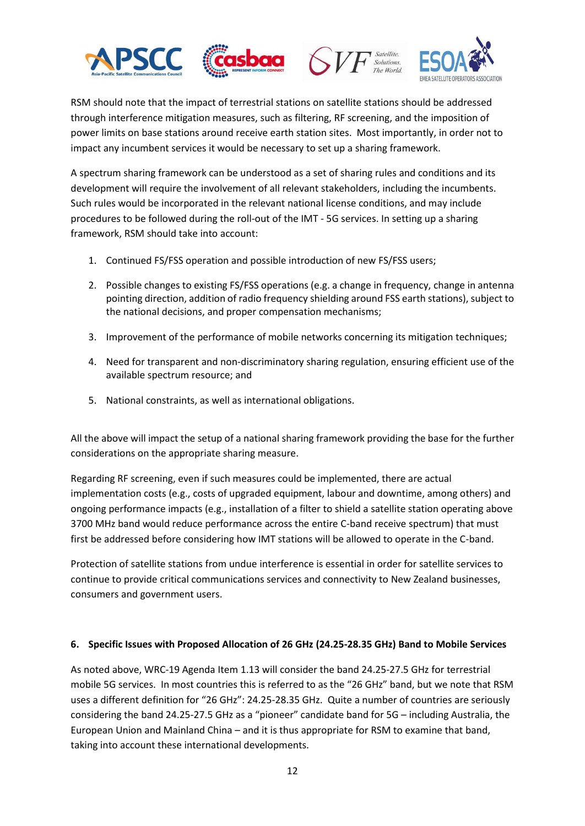





RSM should note that the impact of terrestrial stations on satellite stations should be addressed through interference mitigation measures, such as filtering, RF screening, and the imposition of power limits on base stations around receive earth station sites. Most importantly, in order not to impact any incumbent services it would be necessary to set up a sharing framework.

A spectrum sharing framework can be understood as a set of sharing rules and conditions and its development will require the involvement of all relevant stakeholders, including the incumbents. Such rules would be incorporated in the relevant national license conditions, and may include procedures to be followed during the roll-out of the IMT - 5G services. In setting up a sharing framework, RSM should take into account:

- 1. Continued FS/FSS operation and possible introduction of new FS/FSS users;
- 2. Possible changes to existing FS/FSS operations (e.g. a change in frequency, change in antenna pointing direction, addition of radio frequency shielding around FSS earth stations), subject to the national decisions, and proper compensation mechanisms;
- 3. Improvement of the performance of mobile networks concerning its mitigation techniques;
- 4. Need for transparent and non-discriminatory sharing regulation, ensuring efficient use of the available spectrum resource; and
- 5. National constraints, as well as international obligations.

All the above will impact the setup of a national sharing framework providing the base for the further considerations on the appropriate sharing measure.

Regarding RF screening, even if such measures could be implemented, there are actual implementation costs (e.g., costs of upgraded equipment, labour and downtime, among others) and ongoing performance impacts (e.g., installation of a filter to shield a satellite station operating above 3700 MHz band would reduce performance across the entire C-band receive spectrum) that must first be addressed before considering how IMT stations will be allowed to operate in the C-band.

Protection of satellite stations from undue interference is essential in order for satellite services to continue to provide critical communications services and connectivity to New Zealand businesses, consumers and government users.

### **6. Specific Issues with Proposed Allocation of 26 GHz (24.25-28.35 GHz) Band to Mobile Services**

As noted above, WRC-19 Agenda Item 1.13 will consider the band 24.25-27.5 GHz for terrestrial mobile 5G services. In most countries this is referred to as the "26 GHz" band, but we note that RSM uses a different definition for "26 GHz": 24.25-28.35 GHz. Quite a number of countries are seriously considering the band 24.25-27.5 GHz as a "pioneer" candidate band for 5G – including Australia, the European Union and Mainland China – and it is thus appropriate for RSM to examine that band, taking into account these international developments.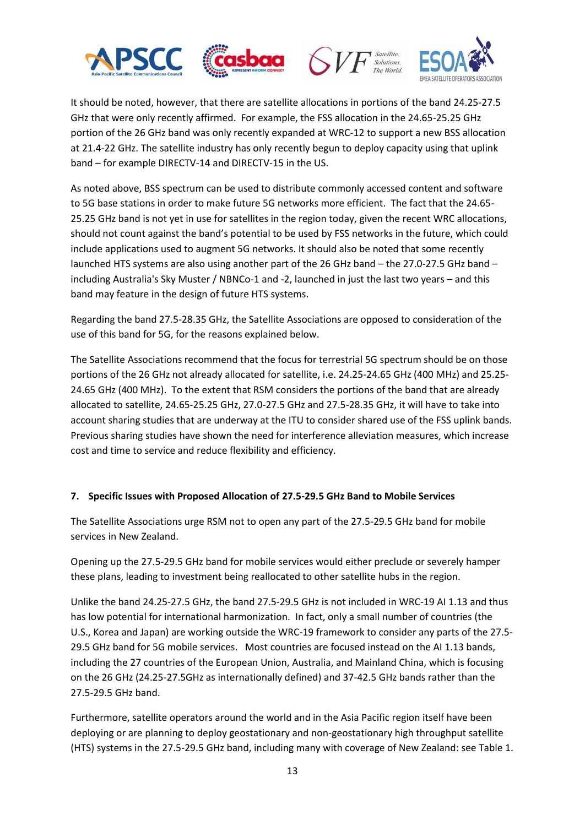







It should be noted, however, that there are satellite allocations in portions of the band 24.25-27.5 GHz that were only recently affirmed. For example, the FSS allocation in the 24.65-25.25 GHz portion of the 26 GHz band was only recently expanded at WRC-12 to support a new BSS allocation at 21.4-22 GHz. The satellite industry has only recently begun to deploy capacity using that uplink band – for example DIRECTV-14 and DIRECTV-15 in the US.

As noted above, BSS spectrum can be used to distribute commonly accessed content and software to 5G base stations in order to make future 5G networks more efficient. The fact that the 24.65- 25.25 GHz band is not yet in use for satellites in the region today, given the recent WRC allocations, should not count against the band's potential to be used by FSS networks in the future, which could include applications used to augment 5G networks. It should also be noted that some recently launched HTS systems are also using another part of the 26 GHz band – the 27.0-27.5 GHz band – including Australia's Sky Muster / NBNCo-1 and -2, launched in just the last two years – and this band may feature in the design of future HTS systems.

Regarding the band 27.5-28.35 GHz, the Satellite Associations are opposed to consideration of the use of this band for 5G, for the reasons explained below.

The Satellite Associations recommend that the focus for terrestrial 5G spectrum should be on those portions of the 26 GHz not already allocated for satellite, i.e. 24.25-24.65 GHz (400 MHz) and 25.25- 24.65 GHz (400 MHz). To the extent that RSM considers the portions of the band that are already allocated to satellite, 24.65-25.25 GHz, 27.0-27.5 GHz and 27.5-28.35 GHz, it will have to take into account sharing studies that are underway at the ITU to consider shared use of the FSS uplink bands. Previous sharing studies have shown the need for interference alleviation measures, which increase cost and time to service and reduce flexibility and efficiency.

### **7. Specific Issues with Proposed Allocation of 27.5-29.5 GHz Band to Mobile Services**

The Satellite Associations urge RSM not to open any part of the 27.5-29.5 GHz band for mobile services in New Zealand.

Opening up the 27.5-29.5 GHz band for mobile services would either preclude or severely hamper these plans, leading to investment being reallocated to other satellite hubs in the region.

Unlike the band 24.25-27.5 GHz, the band 27.5-29.5 GHz is not included in WRC-19 AI 1.13 and thus has low potential for international harmonization. In fact, only a small number of countries (the U.S., Korea and Japan) are working outside the WRC-19 framework to consider any parts of the 27.5- 29.5 GHz band for 5G mobile services. Most countries are focused instead on the AI 1.13 bands, including the 27 countries of the European Union, Australia, and Mainland China, which is focusing on the 26 GHz (24.25-27.5GHz as internationally defined) and 37-42.5 GHz bands rather than the 27.5-29.5 GHz band.

Furthermore, satellite operators around the world and in the Asia Pacific region itself have been deploying or are planning to deploy geostationary and non-geostationary high throughput satellite (HTS) systems in the 27.5-29.5 GHz band, including many with coverage of New Zealand: see Table 1.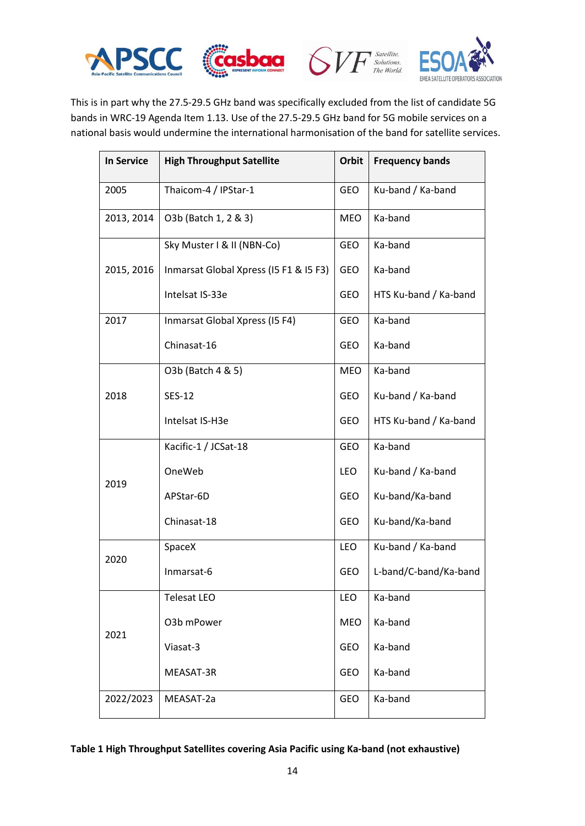





This is in part why the 27.5-29.5 GHz band was specifically excluded from the list of candidate 5G bands in WRC-19 Agenda Item 1.13. Use of the 27.5-29.5 GHz band for 5G mobile services on a national basis would undermine the international harmonisation of the band for satellite services.

| <b>In Service</b> | <b>High Throughput Satellite</b>       | Orbit      | <b>Frequency bands</b> |
|-------------------|----------------------------------------|------------|------------------------|
| 2005              | Thaicom-4 / IPStar-1                   | <b>GEO</b> | Ku-band / Ka-band      |
| 2013, 2014        | O3b (Batch 1, 2 & 3)                   | <b>MEO</b> | Ka-band                |
|                   | Sky Muster I & II (NBN-Co)             | <b>GEO</b> | Ka-band                |
| 2015, 2016        | Inmarsat Global Xpress (I5 F1 & I5 F3) | <b>GEO</b> | Ka-band                |
|                   | Intelsat IS-33e                        | <b>GEO</b> | HTS Ku-band / Ka-band  |
| 2017              | Inmarsat Global Xpress (I5 F4)         | GEO        | Ka-band                |
|                   | Chinasat-16                            | <b>GEO</b> | Ka-band                |
| 2018              | O3b (Batch 4 & 5)                      | <b>MEO</b> | Ka-band                |
|                   | <b>SES-12</b>                          | GEO        | Ku-band / Ka-band      |
|                   | Intelsat IS-H3e                        | GEO        | HTS Ku-band / Ka-band  |
| 2019              | Kacific-1 / JCSat-18                   | GEO        | Ka-band                |
|                   | OneWeb                                 | <b>LEO</b> | Ku-band / Ka-band      |
|                   | APStar-6D                              | <b>GEO</b> | Ku-band/Ka-band        |
|                   | Chinasat-18                            | <b>GEO</b> | Ku-band/Ka-band        |
| 2020              | SpaceX                                 | <b>LEO</b> | Ku-band / Ka-band      |
|                   | Inmarsat-6                             | <b>GEO</b> | L-band/C-band/Ka-band  |
| 2021              | Telesat LEO                            | LEO        | Ka-band                |
|                   | O3b mPower                             | <b>MEO</b> | Ka-band                |
|                   | Viasat-3                               | GEO        | Ka-band                |
|                   | MEASAT-3R                              | GEO        | Ka-band                |
| 2022/2023         | MEASAT-2a                              | GEO        | Ka-band                |

<span id="page-13-0"></span>**Table 1 High Throughput Satellites covering Asia Pacific using Ka-band (not exhaustive)**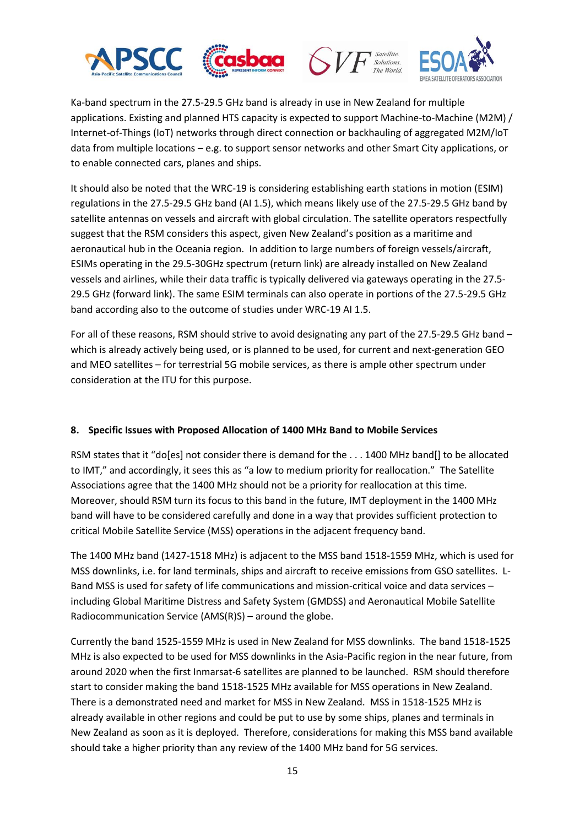





Ka-band spectrum in the 27.5-29.5 GHz band is already in use in New Zealand for multiple applications. Existing and planned HTS capacity is expected to support Machine-to-Machine (M2M) / Internet-of-Things (IoT) networks through direct connection or backhauling of aggregated M2M/IoT data from multiple locations – e.g. to support sensor networks and other Smart City applications, or to enable connected cars, planes and ships.

It should also be noted that the WRC-19 is considering establishing earth stations in motion (ESIM) regulations in the 27.5-29.5 GHz band (AI 1.5), which means likely use of the 27.5-29.5 GHz band by satellite antennas on vessels and aircraft with global circulation. The satellite operators respectfully suggest that the RSM considers this aspect, given New Zealand's position as a maritime and aeronautical hub in the Oceania region. In addition to large numbers of foreign vessels/aircraft, ESIMs operating in the 29.5-30GHz spectrum (return link) are already installed on New Zealand vessels and airlines, while their data traffic is typically delivered via gateways operating in the 27.5- 29.5 GHz (forward link). The same ESIM terminals can also operate in portions of the 27.5-29.5 GHz band according also to the outcome of studies under WRC-19 AI 1.5.

For all of these reasons, RSM should strive to avoid designating any part of the 27.5-29.5 GHz band – which is already actively being used, or is planned to be used, for current and next-generation GEO and MEO satellites – for terrestrial 5G mobile services, as there is ample other spectrum under consideration at the ITU for this purpose.

### **8. Specific Issues with Proposed Allocation of 1400 MHz Band to Mobile Services**

RSM states that it "do[es] not consider there is demand for the . . . 1400 MHz band[] to be allocated to IMT," and accordingly, it sees this as "a low to medium priority for reallocation." The Satellite Associations agree that the 1400 MHz should not be a priority for reallocation at this time. Moreover, should RSM turn its focus to this band in the future, IMT deployment in the 1400 MHz band will have to be considered carefully and done in a way that provides sufficient protection to critical Mobile Satellite Service (MSS) operations in the adjacent frequency band.

The 1400 MHz band (1427-1518 MHz) is adjacent to the MSS band 1518-1559 MHz, which is used for MSS downlinks, i.e. for land terminals, ships and aircraft to receive emissions from GSO satellites. L-Band MSS is used for safety of life communications and mission-critical voice and data services – including Global Maritime Distress and Safety System (GMDSS) and Aeronautical Mobile Satellite Radiocommunication Service (AMS(R)S) – around the globe.

Currently the band 1525-1559 MHz is used in New Zealand for MSS downlinks. The band 1518-1525 MHz is also expected to be used for MSS downlinks in the Asia-Pacific region in the near future, from around 2020 when the first Inmarsat-6 satellites are planned to be launched. RSM should therefore start to consider making the band 1518-1525 MHz available for MSS operations in New Zealand. There is a demonstrated need and market for MSS in New Zealand. MSS in 1518-1525 MHz is already available in other regions and could be put to use by some ships, planes and terminals in New Zealand as soon as it is deployed. Therefore, considerations for making this MSS band available should take a higher priority than any review of the 1400 MHz band for 5G services.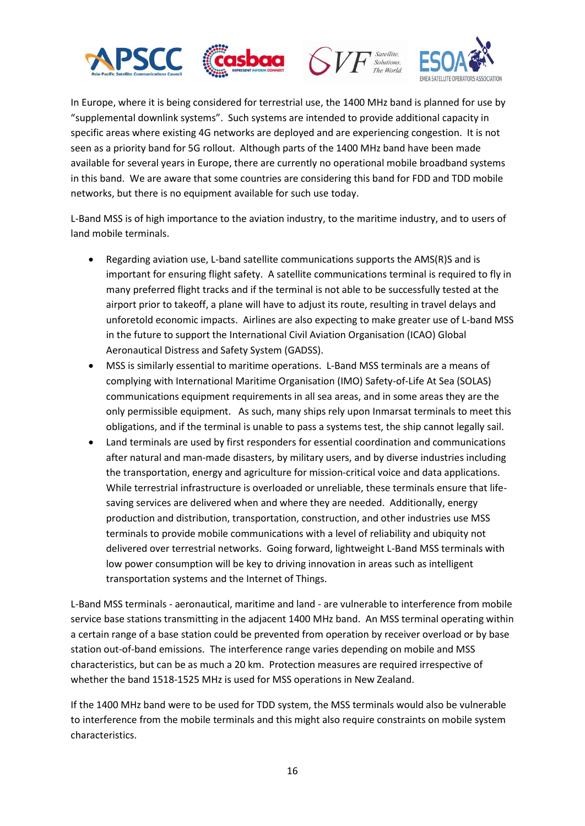





In Europe, where it is being considered for terrestrial use, the 1400 MHz band is planned for use by "supplemental downlink systems". Such systems are intended to provide additional capacity in specific areas where existing 4G networks are deployed and are experiencing congestion. It is not seen as a priority band for 5G rollout. Although parts of the 1400 MHz band have been made available for several years in Europe, there are currently no operational mobile broadband systems in this band. We are aware that some countries are considering this band for FDD and TDD mobile networks, but there is no equipment available for such use today.

L-Band MSS is of high importance to the aviation industry, to the maritime industry, and to users of land mobile terminals.

- Regarding aviation use, L-band satellite communications supports the AMS(R)S and is important for ensuring flight safety. A satellite communications terminal is required to fly in many preferred flight tracks and if the terminal is not able to be successfully tested at the airport prior to takeoff, a plane will have to adjust its route, resulting in travel delays and unforetold economic impacts. Airlines are also expecting to make greater use of L-band MSS in the future to support the International Civil Aviation Organisation (ICAO) Global Aeronautical Distress and Safety System (GADSS).
- MSS is similarly essential to maritime operations. L-Band MSS terminals are a means of complying with International Maritime Organisation (IMO) Safety-of-Life At Sea (SOLAS) communications equipment requirements in all sea areas, and in some areas they are the only permissible equipment. As such, many ships rely upon Inmarsat terminals to meet this obligations, and if the terminal is unable to pass a systems test, the ship cannot legally sail.
- Land terminals are used by first responders for essential coordination and communications after natural and man-made disasters, by military users, and by diverse industries including the transportation, energy and agriculture for mission-critical voice and data applications. While terrestrial infrastructure is overloaded or unreliable, these terminals ensure that lifesaving services are delivered when and where they are needed. Additionally, energy production and distribution, transportation, construction, and other industries use MSS terminals to provide mobile communications with a level of reliability and ubiquity not delivered over terrestrial networks. Going forward, lightweight L-Band MSS terminals with low power consumption will be key to driving innovation in areas such as intelligent transportation systems and the Internet of Things.

L-Band MSS terminals - aeronautical, maritime and land - are vulnerable to interference from mobile service base stations transmitting in the adjacent 1400 MHz band. An MSS terminal operating within a certain range of a base station could be prevented from operation by receiver overload or by base station out-of-band emissions. The interference range varies depending on mobile and MSS characteristics, but can be as much a 20 km. Protection measures are required irrespective of whether the band 1518-1525 MHz is used for MSS operations in New Zealand.

If the 1400 MHz band were to be used for TDD system, the MSS terminals would also be vulnerable to interference from the mobile terminals and this might also require constraints on mobile system characteristics.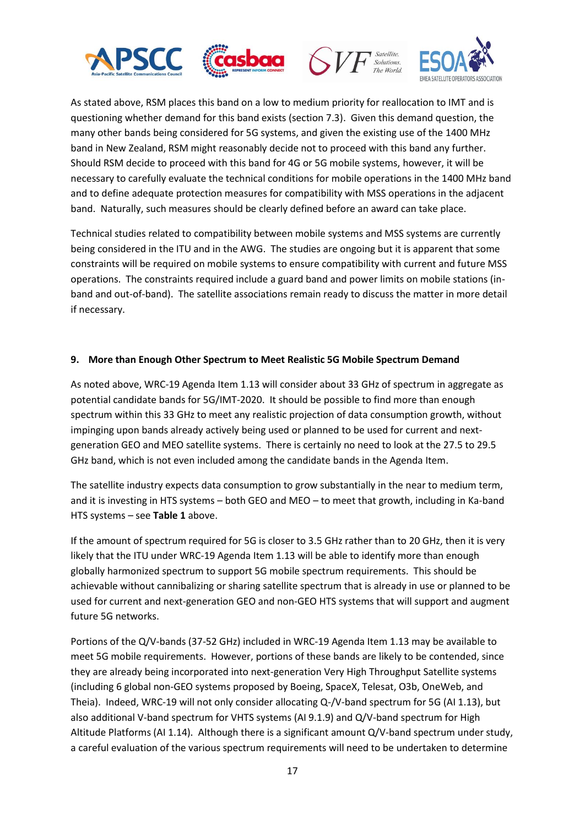





As stated above, RSM places this band on a low to medium priority for reallocation to IMT and is questioning whether demand for this band exists (section 7.3). Given this demand question, the many other bands being considered for 5G systems, and given the existing use of the 1400 MHz band in New Zealand, RSM might reasonably decide not to proceed with this band any further. Should RSM decide to proceed with this band for 4G or 5G mobile systems, however, it will be necessary to carefully evaluate the technical conditions for mobile operations in the 1400 MHz band and to define adequate protection measures for compatibility with MSS operations in the adjacent band. Naturally, such measures should be clearly defined before an award can take place.

Technical studies related to compatibility between mobile systems and MSS systems are currently being considered in the ITU and in the AWG. The studies are ongoing but it is apparent that some constraints will be required on mobile systems to ensure compatibility with current and future MSS operations. The constraints required include a guard band and power limits on mobile stations (inband and out-of-band). The satellite associations remain ready to discuss the matter in more detail if necessary.

#### **9. More than Enough Other Spectrum to Meet Realistic 5G Mobile Spectrum Demand**

As noted above, WRC-19 Agenda Item 1.13 will consider about 33 GHz of spectrum in aggregate as potential candidate bands for 5G/IMT-2020. It should be possible to find more than enough spectrum within this 33 GHz to meet any realistic projection of data consumption growth, without impinging upon bands already actively being used or planned to be used for current and nextgeneration GEO and MEO satellite systems. There is certainly no need to look at the 27.5 to 29.5 GHz band, which is not even included among the candidate bands in the Agenda Item.

The satellite industry expects data consumption to grow substantially in the near to medium term, and it is investing in HTS systems – both GEO and MEO – to meet that growth, including in Ka-band HTS systems – see **[Table 1](#page-13-0)** above.

If the amount of spectrum required for 5G is closer to 3.5 GHz rather than to 20 GHz, then it is very likely that the ITU under WRC-19 Agenda Item 1.13 will be able to identify more than enough globally harmonized spectrum to support 5G mobile spectrum requirements. This should be achievable without cannibalizing or sharing satellite spectrum that is already in use or planned to be used for current and next-generation GEO and non-GEO HTS systems that will support and augment future 5G networks.

Portions of the Q/V-bands (37-52 GHz) included in WRC-19 Agenda Item 1.13 may be available to meet 5G mobile requirements. However, portions of these bands are likely to be contended, since they are already being incorporated into next-generation Very High Throughput Satellite systems (including 6 global non-GEO systems proposed by Boeing, SpaceX, Telesat, O3b, OneWeb, and Theia). Indeed, WRC-19 will not only consider allocating Q-/V-band spectrum for 5G (AI 1.13), but also additional V-band spectrum for VHTS systems (AI 9.1.9) and Q/V-band spectrum for High Altitude Platforms (AI 1.14). Although there is a significant amount Q/V-band spectrum under study, a careful evaluation of the various spectrum requirements will need to be undertaken to determine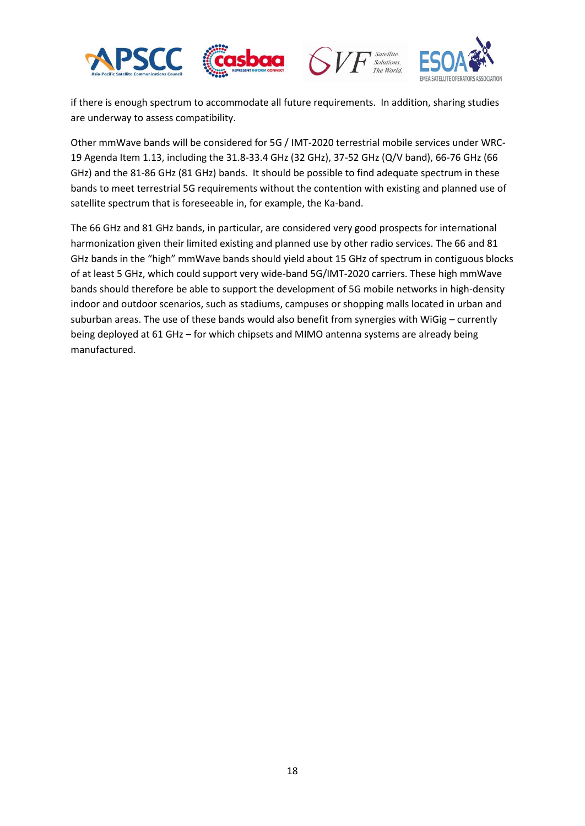





if there is enough spectrum to accommodate all future requirements. In addition, sharing studies are underway to assess compatibility.

Other mmWave bands will be considered for 5G / IMT-2020 terrestrial mobile services under WRC-19 Agenda Item 1.13, including the 31.8-33.4 GHz (32 GHz), 37-52 GHz (Q/V band), 66-76 GHz (66 GHz) and the 81-86 GHz (81 GHz) bands. It should be possible to find adequate spectrum in these bands to meet terrestrial 5G requirements without the contention with existing and planned use of satellite spectrum that is foreseeable in, for example, the Ka-band.

The 66 GHz and 81 GHz bands, in particular, are considered very good prospects for international harmonization given their limited existing and planned use by other radio services. The 66 and 81 GHz bands in the "high" mmWave bands should yield about 15 GHz of spectrum in contiguous blocks of at least 5 GHz, which could support very wide-band 5G/IMT-2020 carriers. These high mmWave bands should therefore be able to support the development of 5G mobile networks in high-density indoor and outdoor scenarios, such as stadiums, campuses or shopping malls located in urban and suburban areas. The use of these bands would also benefit from synergies with WiGig – currently being deployed at 61 GHz – for which chipsets and MIMO antenna systems are already being manufactured.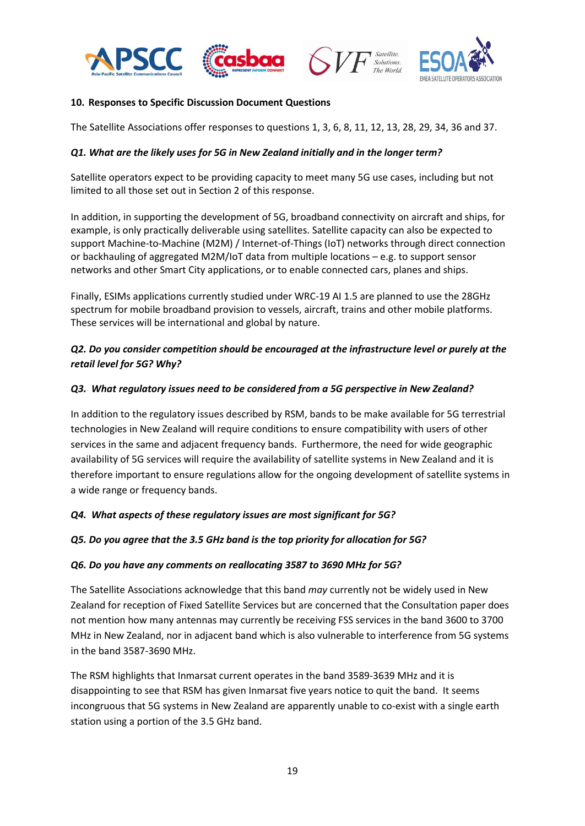





#### **10. Responses to Specific Discussion Document Questions**

The Satellite Associations offer responses to questions 1, 3, 6, 8, 11, 12, 13, 28, 29, 34, 36 and 37.

#### *Q1. What are the likely uses for 5G in New Zealand initially and in the longer term?*

Satellite operators expect to be providing capacity to meet many 5G use cases, including but not limited to all those set out in Section 2 of this response.

In addition, in supporting the development of 5G, broadband connectivity on aircraft and ships, for example, is only practically deliverable using satellites. Satellite capacity can also be expected to support Machine-to-Machine (M2M) / Internet-of-Things (IoT) networks through direct connection or backhauling of aggregated M2M/IoT data from multiple locations – e.g. to support sensor networks and other Smart City applications, or to enable connected cars, planes and ships.

Finally, ESIMs applications currently studied under WRC-19 AI 1.5 are planned to use the 28GHz spectrum for mobile broadband provision to vessels, aircraft, trains and other mobile platforms. These services will be international and global by nature.

### *Q2. Do you consider competition should be encouraged at the infrastructure level or purely at the retail level for 5G? Why?*

#### *Q3. What regulatory issues need to be considered from a 5G perspective in New Zealand?*

In addition to the regulatory issues described by RSM, bands to be make available for 5G terrestrial technologies in New Zealand will require conditions to ensure compatibility with users of other services in the same and adjacent frequency bands. Furthermore, the need for wide geographic availability of 5G services will require the availability of satellite systems in New Zealand and it is therefore important to ensure regulations allow for the ongoing development of satellite systems in a wide range or frequency bands.

### *Q4. What aspects of these regulatory issues are most significant for 5G?*

#### *Q5. Do you agree that the 3.5 GHz band is the top priority for allocation for 5G?*

#### *Q6. Do you have any comments on reallocating 3587 to 3690 MHz for 5G?*

The Satellite Associations acknowledge that this band *may* currently not be widely used in New Zealand for reception of Fixed Satellite Services but are concerned that the Consultation paper does not mention how many antennas may currently be receiving FSS services in the band 3600 to 3700 MHz in New Zealand, nor in adjacent band which is also vulnerable to interference from 5G systems in the band 3587-3690 MHz.

The RSM highlights that Inmarsat current operates in the band 3589-3639 MHz and it is disappointing to see that RSM has given Inmarsat five years notice to quit the band. It seems incongruous that 5G systems in New Zealand are apparently unable to co-exist with a single earth station using a portion of the 3.5 GHz band.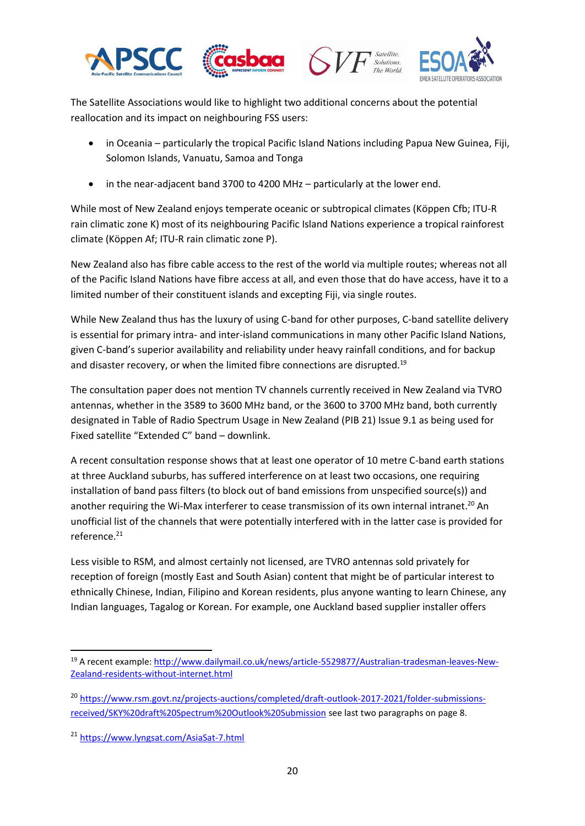





The Satellite Associations would like to highlight two additional concerns about the potential reallocation and its impact on neighbouring FSS users:

- in Oceania particularly the tropical Pacific Island Nations including Papua New Guinea, Fiji, Solomon Islands, Vanuatu, Samoa and Tonga
- in the near-adjacent band 3700 to 4200 MHz particularly at the lower end.

While most of New Zealand enjoys temperate oceanic or subtropical climates (Köppen Cfb; ITU-R rain climatic zone K) most of its neighbouring Pacific Island Nations experience a tropical rainforest climate (Köppen Af; ITU-R rain climatic zone P).

New Zealand also has fibre cable access to the rest of the world via multiple routes; whereas not all of the Pacific Island Nations have fibre access at all, and even those that do have access, have it to a limited number of their constituent islands and excepting Fiji, via single routes.

While New Zealand thus has the luxury of using C-band for other purposes, C-band satellite delivery is essential for primary intra- and inter-island communications in many other Pacific Island Nations, given C-band's superior availability and reliability under heavy rainfall conditions, and for backup and disaster recovery, or when the limited fibre connections are disrupted.<sup>19</sup>

The consultation paper does not mention TV channels currently received in New Zealand via TVRO antennas, whether in the 3589 to 3600 MHz band, or the 3600 to 3700 MHz band, both currently designated in Table of Radio Spectrum Usage in New Zealand (PIB 21) Issue 9.1 as being used for Fixed satellite "Extended C" band – downlink.

A recent consultation response shows that at least one operator of 10 metre C-band earth stations at three Auckland suburbs, has suffered interference on at least two occasions, one requiring installation of band pass filters (to block out of band emissions from unspecified source(s)) and another requiring the Wi-Max interferer to cease transmission of its own internal intranet.<sup>20</sup> An unofficial list of the channels that were potentially interfered with in the latter case is provided for reference. 21

Less visible to RSM, and almost certainly not licensed, are TVRO antennas sold privately for reception of foreign (mostly East and South Asian) content that might be of particular interest to ethnically Chinese, Indian, Filipino and Korean residents, plus anyone wanting to learn Chinese, any Indian languages, Tagalog or Korean. For example, one Auckland based supplier installer offers

**<sup>.</sup>** <sup>19</sup> A recent example: [http://www.dailymail.co.uk/news/article-5529877/Australian-tradesman-leaves-New-](http://www.dailymail.co.uk/news/article-5529877/Australian-tradesman-leaves-New-Zealand-residents-without-internet.html)[Zealand-residents-without-internet.html](http://www.dailymail.co.uk/news/article-5529877/Australian-tradesman-leaves-New-Zealand-residents-without-internet.html)

<sup>20</sup> [https://www.rsm.govt.nz/projects-auctions/completed/draft-outlook-2017-2021/folder-submissions](https://www.rsm.govt.nz/projects-auctions/completed/draft-outlook-2017-2021/folder-submissions-received/SKY%20draft%20Spectrum%20Outlook%20Submission)[received/SKY%20draft%20Spectrum%20Outlook%20Submission](https://www.rsm.govt.nz/projects-auctions/completed/draft-outlook-2017-2021/folder-submissions-received/SKY%20draft%20Spectrum%20Outlook%20Submission) see last two paragraphs on page 8.

<sup>21</sup> <https://www.lyngsat.com/AsiaSat-7.html>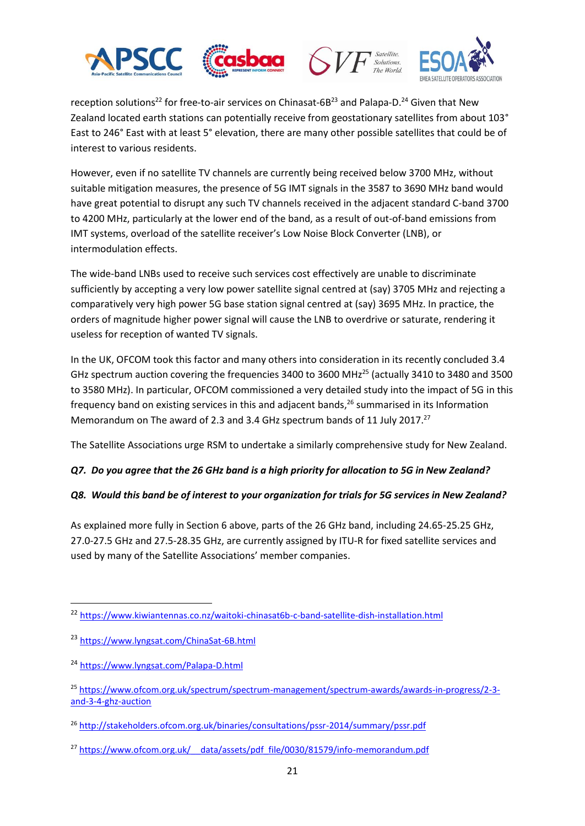





reception solutions<sup>22</sup> for free-to-air services on Chinasat-6B<sup>23</sup> and Palapa-D.<sup>24</sup> Given that New Zealand located earth stations can potentially receive from geostationary satellites from about 103° East to 246° East with at least 5° elevation, there are many other possible satellites that could be of interest to various residents.

However, even if no satellite TV channels are currently being received below 3700 MHz, without suitable mitigation measures, the presence of 5G IMT signals in the 3587 to 3690 MHz band would have great potential to disrupt any such TV channels received in the adjacent standard C-band 3700 to 4200 MHz, particularly at the lower end of the band, as a result of out-of-band emissions from IMT systems, overload of the satellite receiver's Low Noise Block Converter (LNB), or intermodulation effects.

The wide-band LNBs used to receive such services cost effectively are unable to discriminate sufficiently by accepting a very low power satellite signal centred at (say) 3705 MHz and rejecting a comparatively very high power 5G base station signal centred at (say) 3695 MHz. In practice, the orders of magnitude higher power signal will cause the LNB to overdrive or saturate, rendering it useless for reception of wanted TV signals.

In the UK, OFCOM took this factor and many others into consideration in its recently concluded 3.4 GHz spectrum auction covering the frequencies 3400 to 3600 MHz<sup>25</sup> (actually 3410 to 3480 and 3500 to 3580 MHz). In particular, OFCOM commissioned a very detailed study into the impact of 5G in this frequency band on existing services in this and adjacent bands, <sup>26</sup> summarised in its Information Memorandum on The award of 2.3 and 3.4 GHz spectrum bands of 11 July 2017.<sup>27</sup>

The Satellite Associations urge RSM to undertake a similarly comprehensive study for New Zealand.

# *Q7. Do you agree that the 26 GHz band is a high priority for allocation to 5G in New Zealand?*

# *Q8. Would this band be of interest to your organization for trials for 5G services in New Zealand?*

As explained more fully in Section 6 above, parts of the 26 GHz band, including 24.65-25.25 GHz, 27.0-27.5 GHz and 27.5-28.35 GHz, are currently assigned by ITU-R for fixed satellite services and used by many of the Satellite Associations' member companies.

**.** 

<sup>22</sup> <https://www.kiwiantennas.co.nz/waitoki-chinasat6b-c-band-satellite-dish-installation.html>

<sup>23</sup> <https://www.lyngsat.com/ChinaSat-6B.html>

<sup>24</sup> <https://www.lyngsat.com/Palapa-D.html>

<sup>25</sup> [https://www.ofcom.org.uk/spectrum/spectrum-management/spectrum-awards/awards-in-progress/2-3](https://www.ofcom.org.uk/spectrum/spectrum-management/spectrum-awards/awards-in-progress/2-3-and-3-4-ghz-auction) [and-3-4-ghz-auction](https://www.ofcom.org.uk/spectrum/spectrum-management/spectrum-awards/awards-in-progress/2-3-and-3-4-ghz-auction)

<sup>26</sup> <http://stakeholders.ofcom.org.uk/binaries/consultations/pssr-2014/summary/pssr.pdf>

<sup>&</sup>lt;sup>27</sup> https://www.ofcom.org.uk/ data/assets/pdf file/0030/81579/info-memorandum.pdf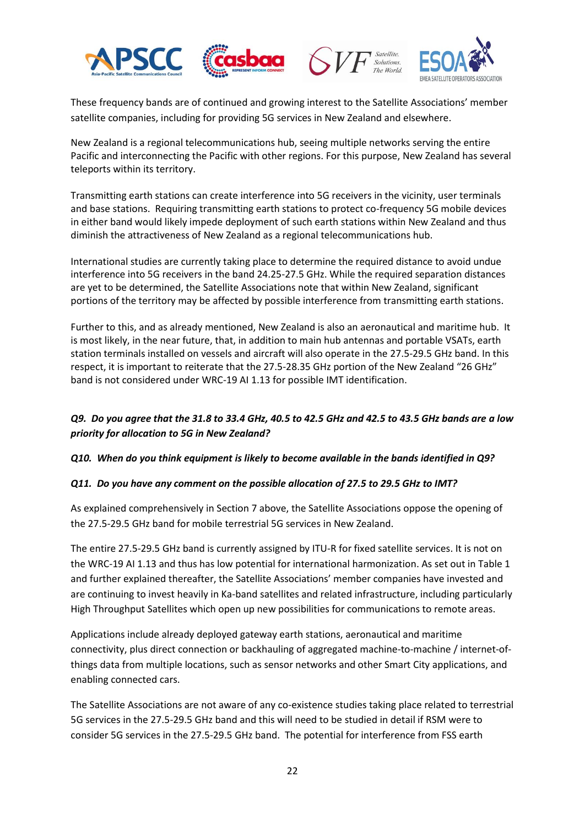







These frequency bands are of continued and growing interest to the Satellite Associations' member satellite companies, including for providing 5G services in New Zealand and elsewhere.

New Zealand is a regional telecommunications hub, seeing multiple networks serving the entire Pacific and interconnecting the Pacific with other regions. For this purpose, New Zealand has several teleports within its territory.

Transmitting earth stations can create interference into 5G receivers in the vicinity, user terminals and base stations. Requiring transmitting earth stations to protect co-frequency 5G mobile devices in either band would likely impede deployment of such earth stations within New Zealand and thus diminish the attractiveness of New Zealand as a regional telecommunications hub.

International studies are currently taking place to determine the required distance to avoid undue interference into 5G receivers in the band 24.25-27.5 GHz. While the required separation distances are yet to be determined, the Satellite Associations note that within New Zealand, significant portions of the territory may be affected by possible interference from transmitting earth stations.

Further to this, and as already mentioned, New Zealand is also an aeronautical and maritime hub. It is most likely, in the near future, that, in addition to main hub antennas and portable VSATs, earth station terminals installed on vessels and aircraft will also operate in the 27.5-29.5 GHz band. In this respect, it is important to reiterate that the 27.5-28.35 GHz portion of the New Zealand "26 GHz" band is not considered under WRC-19 AI 1.13 for possible IMT identification.

# *Q9. Do you agree that the 31.8 to 33.4 GHz, 40.5 to 42.5 GHz and 42.5 to 43.5 GHz bands are a low priority for allocation to 5G in New Zealand?*

### *Q10. When do you think equipment is likely to become available in the bands identified in Q9?*

### *Q11. Do you have any comment on the possible allocation of 27.5 to 29.5 GHz to IMT?*

As explained comprehensively in Section 7 above, the Satellite Associations oppose the opening of the 27.5-29.5 GHz band for mobile terrestrial 5G services in New Zealand.

The entire 27.5-29.5 GHz band is currently assigned by ITU-R for fixed satellite services. It is not on the WRC-19 AI 1.13 and thus has low potential for international harmonization. As set out in Table 1 and further explained thereafter, the Satellite Associations' member companies have invested and are continuing to invest heavily in Ka-band satellites and related infrastructure, including particularly High Throughput Satellites which open up new possibilities for communications to remote areas.

Applications include already deployed gateway earth stations, aeronautical and maritime connectivity, plus direct connection or backhauling of aggregated machine-to-machine / internet-ofthings data from multiple locations, such as sensor networks and other Smart City applications, and enabling connected cars.

The Satellite Associations are not aware of any co-existence studies taking place related to terrestrial 5G services in the 27.5-29.5 GHz band and this will need to be studied in detail if RSM were to consider 5G services in the 27.5-29.5 GHz band. The potential for interference from FSS earth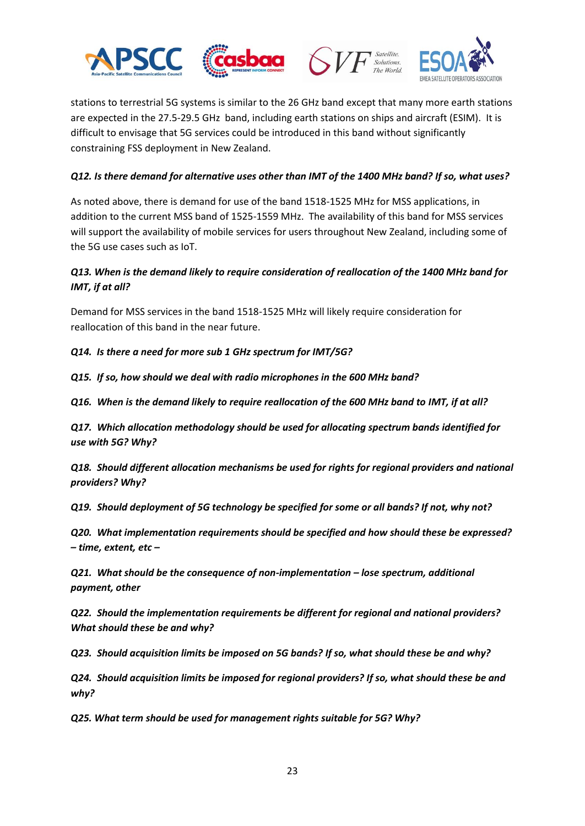





stations to terrestrial 5G systems is similar to the 26 GHz band except that many more earth stations are expected in the 27.5-29.5 GHz band, including earth stations on ships and aircraft (ESIM). It is difficult to envisage that 5G services could be introduced in this band without significantly constraining FSS deployment in New Zealand.

### *Q12. Is there demand for alternative uses other than IMT of the 1400 MHz band? If so, what uses?*

As noted above, there is demand for use of the band 1518-1525 MHz for MSS applications, in addition to the current MSS band of 1525-1559 MHz. The availability of this band for MSS services will support the availability of mobile services for users throughout New Zealand, including some of the 5G use cases such as IoT.

# *Q13. When is the demand likely to require consideration of reallocation of the 1400 MHz band for IMT, if at all?*

Demand for MSS services in the band 1518-1525 MHz will likely require consideration for reallocation of this band in the near future.

*Q14. Is there a need for more sub 1 GHz spectrum for IMT/5G?* 

*Q15. If so, how should we deal with radio microphones in the 600 MHz band?* 

*Q16. When is the demand likely to require reallocation of the 600 MHz band to IMT, if at all?* 

*Q17. Which allocation methodology should be used for allocating spectrum bands identified for use with 5G? Why?* 

*Q18. Should different allocation mechanisms be used for rights for regional providers and national providers? Why?* 

*Q19. Should deployment of 5G technology be specified for some or all bands? If not, why not?* 

*Q20. What implementation requirements should be specified and how should these be expressed? – time, extent, etc –*

*Q21. What should be the consequence of non-implementation – lose spectrum, additional payment, other* 

*Q22. Should the implementation requirements be different for regional and national providers? What should these be and why?* 

*Q23. Should acquisition limits be imposed on 5G bands? If so, what should these be and why?* 

*Q24. Should acquisition limits be imposed for regional providers? If so, what should these be and why?* 

*Q25. What term should be used for management rights suitable for 5G? Why?*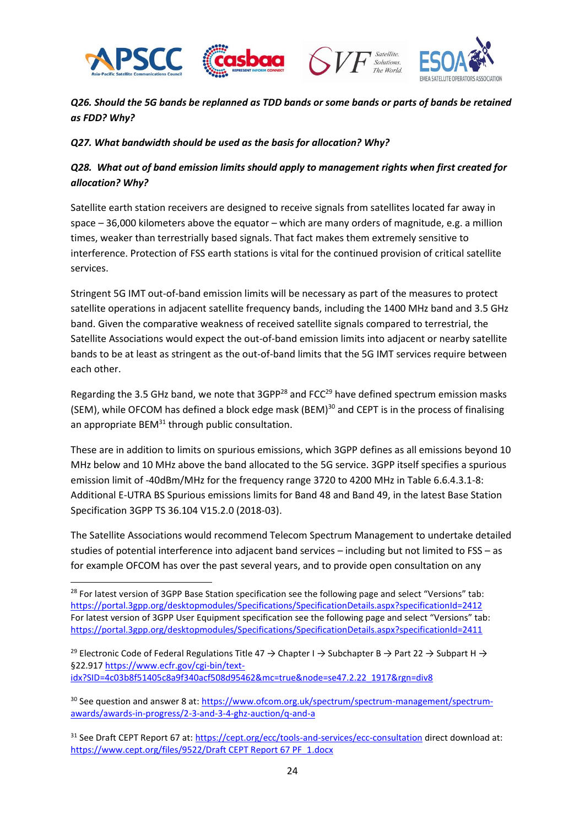

**.** 





*Q26. Should the 5G bands be replanned as TDD bands or some bands or parts of bands be retained as FDD? Why?* 

### *Q27. What bandwidth should be used as the basis for allocation? Why?*

# *Q28. What out of band emission limits should apply to management rights when first created for allocation? Why?*

Satellite earth station receivers are designed to receive signals from satellites located far away in space – 36,000 kilometers above the equator – which are many orders of magnitude, e.g. a million times, weaker than terrestrially based signals. That fact makes them extremely sensitive to interference. Protection of FSS earth stations is vital for the continued provision of critical satellite services.

Stringent 5G IMT out-of-band emission limits will be necessary as part of the measures to protect satellite operations in adjacent satellite frequency bands, including the 1400 MHz band and 3.5 GHz band. Given the comparative weakness of received satellite signals compared to terrestrial, the Satellite Associations would expect the out-of-band emission limits into adjacent or nearby satellite bands to be at least as stringent as the out-of-band limits that the 5G IMT services require between each other.

Regarding the 3.5 GHz band, we note that 3GPP<sup>28</sup> and FCC<sup>29</sup> have defined spectrum emission masks (SEM), while OFCOM has defined a block edge mask (BEM)<sup>30</sup> and CEPT is in the process of finalising an appropriate  $BEM^{31}$  through public consultation.

These are in addition to limits on spurious emissions, which 3GPP defines as all emissions beyond 10 MHz below and 10 MHz above the band allocated to the 5G service. 3GPP itself specifies a spurious emission limit of -40dBm/MHz for the frequency range 3720 to 4200 MHz in Table 6.6.4.3.1-8: Additional E-UTRA BS Spurious emissions limits for Band 48 and Band 49, in the latest Base Station Specification 3GPP TS 36.104 V15.2.0 (2018-03).

The Satellite Associations would recommend Telecom Spectrum Management to undertake detailed studies of potential interference into adjacent band services – including but not limited to FSS – as for example OFCOM has over the past several years, and to provide open consultation on any

<sup>29</sup> Electronic Code of Federal Regulations Title 47  $\rightarrow$  Chapter I  $\rightarrow$  Subchapter B  $\rightarrow$  Part 22  $\rightarrow$  Subpart H  $\rightarrow$ §22.917 [https://www.ecfr.gov/cgi-bin/text](https://www.ecfr.gov/cgi-bin/text-idx?SID=4c03b8f51405c8a9f340acf508d95462&mc=true&node=se47.2.22_1917&rgn=div8)[idx?SID=4c03b8f51405c8a9f340acf508d95462&mc=true&node=se47.2.22\\_1917&rgn=div8](https://www.ecfr.gov/cgi-bin/text-idx?SID=4c03b8f51405c8a9f340acf508d95462&mc=true&node=se47.2.22_1917&rgn=div8)

<sup>30</sup> See question and answer 8 at: [https://www.ofcom.org.uk/spectrum/spectrum-management/spectrum](https://www.ofcom.org.uk/spectrum/spectrum-management/spectrum-awards/awards-in-progress/2-3-and-3-4-ghz-auction/q-and-a)[awards/awards-in-progress/2-3-and-3-4-ghz-auction/q-and-a](https://www.ofcom.org.uk/spectrum/spectrum-management/spectrum-awards/awards-in-progress/2-3-and-3-4-ghz-auction/q-and-a)

<sup>31</sup> See Draft CEPT Report 67 at:<https://cept.org/ecc/tools-and-services/ecc-consultation> direct download at: [https://www.cept.org/files/9522/Draft CEPT Report 67 PF\\_1.docx](https://www.cept.org/files/9522/Draft%20CEPT%20Report%2067%20PF_1.docx)

<sup>&</sup>lt;sup>28</sup> For latest version of 3GPP Base Station specification see the following page and select "Versions" tab: <https://portal.3gpp.org/desktopmodules/Specifications/SpecificationDetails.aspx?specificationId=2412> For latest version of 3GPP User Equipment specification see the following page and select "Versions" tab: <https://portal.3gpp.org/desktopmodules/Specifications/SpecificationDetails.aspx?specificationId=2411>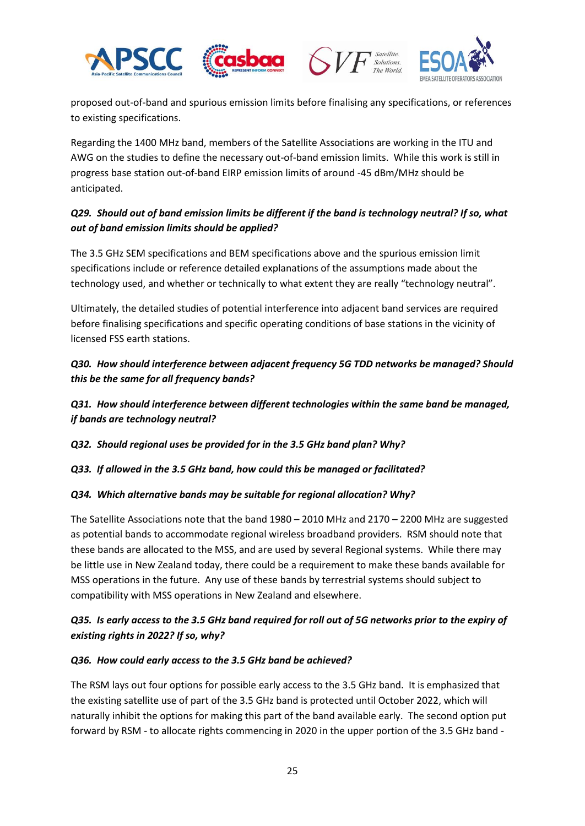





proposed out-of-band and spurious emission limits before finalising any specifications, or references to existing specifications.

Regarding the 1400 MHz band, members of the Satellite Associations are working in the ITU and AWG on the studies to define the necessary out-of-band emission limits. While this work is still in progress base station out-of-band EIRP emission limits of around -45 dBm/MHz should be anticipated.

# *Q29. Should out of band emission limits be different if the band is technology neutral? If so, what out of band emission limits should be applied?*

The 3.5 GHz SEM specifications and BEM specifications above and the spurious emission limit specifications include or reference detailed explanations of the assumptions made about the technology used, and whether or technically to what extent they are really "technology neutral".

Ultimately, the detailed studies of potential interference into adjacent band services are required before finalising specifications and specific operating conditions of base stations in the vicinity of licensed FSS earth stations.

# *Q30. How should interference between adjacent frequency 5G TDD networks be managed? Should this be the same for all frequency bands?*

*Q31. How should interference between different technologies within the same band be managed, if bands are technology neutral?*

*Q32. Should regional uses be provided for in the 3.5 GHz band plan? Why?*

*Q33. If allowed in the 3.5 GHz band, how could this be managed or facilitated?* 

# *Q34. Which alternative bands may be suitable for regional allocation? Why?*

The Satellite Associations note that the band 1980 – 2010 MHz and 2170 – 2200 MHz are suggested as potential bands to accommodate regional wireless broadband providers. RSM should note that these bands are allocated to the MSS, and are used by several Regional systems. While there may be little use in New Zealand today, there could be a requirement to make these bands available for MSS operations in the future. Any use of these bands by terrestrial systems should subject to compatibility with MSS operations in New Zealand and elsewhere.

# *Q35. Is early access to the 3.5 GHz band required for roll out of 5G networks prior to the expiry of existing rights in 2022? If so, why?*

### *Q36. How could early access to the 3.5 GHz band be achieved?*

The RSM lays out four options for possible early access to the 3.5 GHz band. It is emphasized that the existing satellite use of part of the 3.5 GHz band is protected until October 2022, which will naturally inhibit the options for making this part of the band available early. The second option put forward by RSM - to allocate rights commencing in 2020 in the upper portion of the 3.5 GHz band -